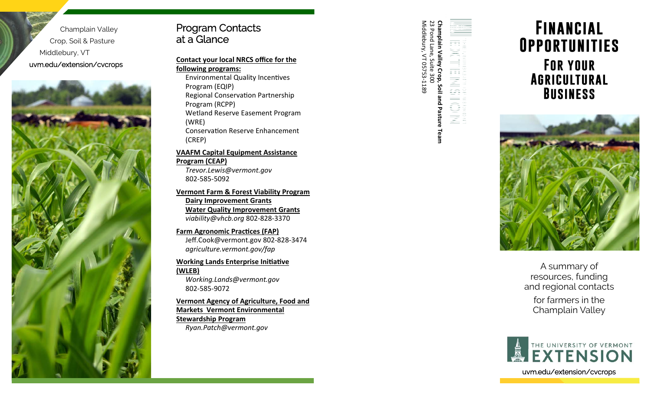Champlain Valley Crop, Soil & Pasture Middlebury, VT uvm.edu/extension/cvcrops



Program Contacts<br>
at a Glance<br>
Contact your local NRCS office for the<br>
Environmental Quality Incentives<br>
FOR YOUR<br>
FOR YOUR<br>
PRORTUNITIES<br>
Program (EQIP)<br>
Program (RCPP)<br>
Program (RCPP)<br>
Program (RCPP)<br>
Program (RCPP)<br>
Pro

**VAAFM Capital Equipment Assistance Program (CEAP)**  *Trevor.Lewis@vermont.gov*  802‐585‐5092

**Vermont Farm & Forest Viability Program Dairy Improvement Grants Water Quality Improvement Grants**  *viability@vhcb.org* 802‐828‐3370

**Farm Agronomic Practices (FAP)** Jeff.Cook@vermont.gov 802‐828‐3474 *agriculture.vermont.gov/fap* 

**Working Lands Enterprise Initiative (WLEB)** 

*Working.Lands@vermont.gov*  802‐585‐9072

**Vermont Agency of Agriculture, Food and Markets Vermont Environmental Stewardship Program**  *Ryan.Patch@vermont.gov* 

| Middlebury, VT 05753-1189 | 23 Pond Lane, Suite 300 |                                                    | 建酸盐 用语气的用语 医血细胞反应 |
|---------------------------|-------------------------|----------------------------------------------------|-------------------|
|                           |                         |                                                    |                   |
|                           |                         |                                                    |                   |
|                           |                         |                                                    |                   |
|                           |                         |                                                    |                   |
|                           |                         |                                                    |                   |
|                           |                         |                                                    |                   |
|                           |                         |                                                    |                   |
|                           |                         |                                                    |                   |
|                           |                         |                                                    |                   |
|                           |                         |                                                    |                   |
|                           |                         |                                                    |                   |
|                           |                         |                                                    |                   |
|                           |                         | <b>Champlain Valley Crop, Soil and Pasture Tea</b> |                   |
|                           |                         |                                                    |                   |
|                           |                         |                                                    |                   |



A summary of resources, funding and regional contacts for farmers in the Champlain Valley